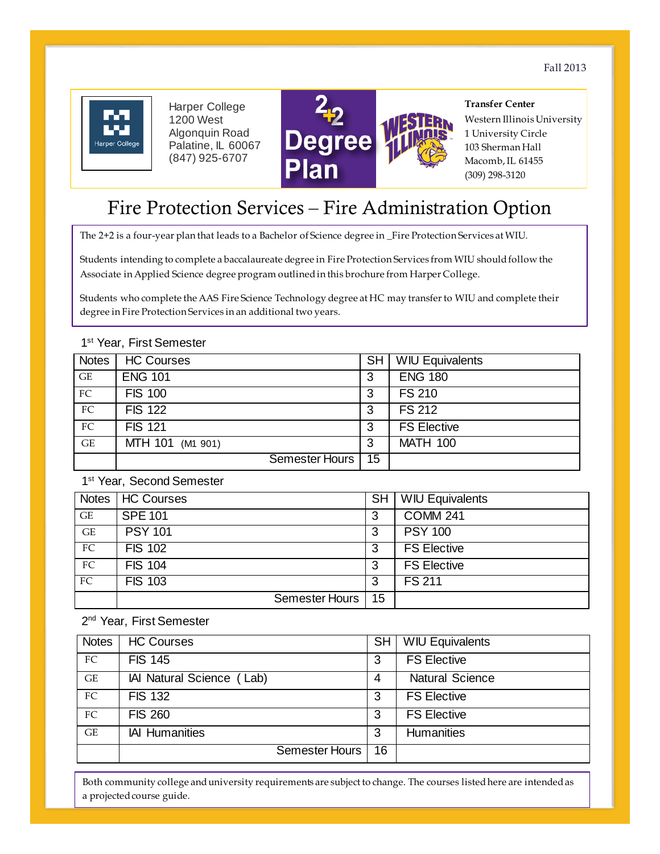Fall 2013



Harper College 1200 West Algonquin Road Palatine, IL 60067 (847) 925-6707



**Transfer Center**  Western Illinois University

1 University Circle 103 Sherman Hall Macomb, IL 61455 (309) 298-3120

# Fire Protection Services – Fire Administration Option

The 2+2 is a four-year plan that leads to a Bachelor of Science degree in \_Fire Protection Services at WIU.

 Associate in Applied Science degree program outlined in this brochure from Harper College. Students intending to complete a baccalaureate degree in Fire Protection Services from WIU should follow the

 Students who complete the AAS Fire Science Technology degree at HC may transfer to WIU and complete their degree in Fire Protection Services in an additional two years.

# GE | MTH 101 (M1 901) | 3 | MATH 100 Notes | HC Courses SH | SH | WIU Equivalents GE | ENG 101 3 | ENG 180 FC FIS 100 3 FS 210 FC FIS 122 3 FS 212 FC FIS 121 3 | FS Elective Semester Hours | 15

## 1<sup>st</sup> Year, First Semester

1<sup>st</sup> Year, Second Semester

|    | Notes   HC Courses | <b>SH</b> | <b>WIU Equivalents</b> |
|----|--------------------|-----------|------------------------|
| GE | <b>SPE 101</b>     | 3         | <b>COMM 241</b>        |
| GE | <b>PSY 101</b>     | 3         | <b>PSY 100</b>         |
| FC | <b>FIS 102</b>     | 3         | <b>FS Elective</b>     |
| FC | <b>FIS 104</b>     | 3         | <b>FS Elective</b>     |
| FC | <b>FIS 103</b>     | 3         | <b>FS 211</b>          |
|    | Semester Hours     | 15        |                        |

2<sup>nd</sup> Year, First Semester

| <b>Notes</b> | <b>HC Courses</b>         | <b>SH</b> | <b>WIU Equivalents</b> |
|--------------|---------------------------|-----------|------------------------|
| FC           | <b>FIS 145</b>            | 3         | <b>FS Elective</b>     |
| <b>GE</b>    | IAI Natural Science (Lab) | 4         | <b>Natural Science</b> |
| FC           | <b>FIS 132</b>            | 3         | <b>FS Elective</b>     |
| FC           | <b>FIS 260</b>            | 3         | <b>FS Elective</b>     |
| GE           | <b>IAI Humanities</b>     | 3         | <b>Humanities</b>      |
|              | Semester Hours            | 16        |                        |

Both community college and university requirements are subject to change. The courses listed here are intended as a projected course guide.